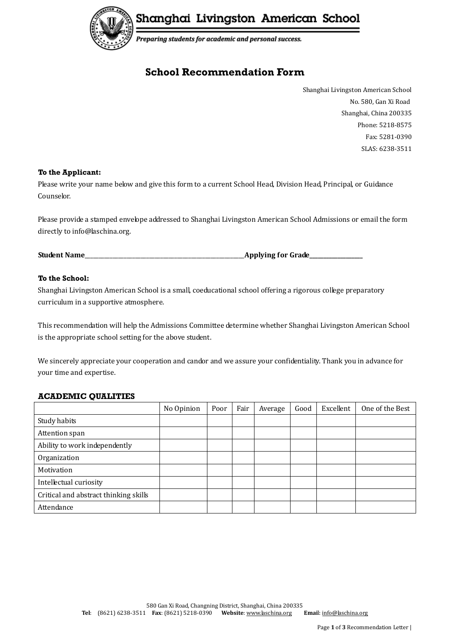

Shanghai Livingston American School

Preparing students for academic and personal success.

# **School Recommendation Form**

Shanghai Livingston American School No. 580, Gan Xi Road Shanghai, China 200335 Phone: 5218-8575 Fax: 5281-0390 SLAS: 6238-3511

# **To the Applicant:**

Please write your name below and give this form to a current School Head, Division Head, Principal, or Guidance Counselor.

Please provide a stamped envelope addressed to Shanghai Livingston American School Admissions or email the form directly to info@laschina.org.

**Student Name** 

# **To the School:**

Shanghai Livingston American School is a small, coeducational school offering a rigorous college preparatory curriculum in a supportive atmosphere.

This recommendation will help the Admissions Committee determine whether Shanghai Livingston American School is the appropriate school setting for the above student.

We sincerely appreciate your cooperation and candor and we assure your confidentiality. Thank you in advance for your time and expertise.

#### **ACADEMIC QUALITIES**

|                                       | No Opinion | Poor | Fair | Average | Good | Excellent | One of the Best |
|---------------------------------------|------------|------|------|---------|------|-----------|-----------------|
| Study habits                          |            |      |      |         |      |           |                 |
| Attention span                        |            |      |      |         |      |           |                 |
| Ability to work independently         |            |      |      |         |      |           |                 |
| Organization                          |            |      |      |         |      |           |                 |
| Motivation                            |            |      |      |         |      |           |                 |
| Intellectual curiosity                |            |      |      |         |      |           |                 |
| Critical and abstract thinking skills |            |      |      |         |      |           |                 |
| Attendance                            |            |      |      |         |      |           |                 |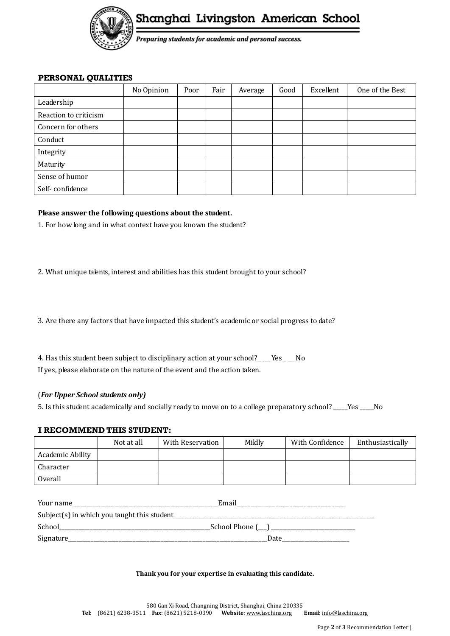

Shanghai Livingston American School

Preparing students for academic and personal success.

#### **PERSONAL QUALITIES**

|                       | No Opinion | Poor | Fair | Average | Good | Excellent | One of the Best |
|-----------------------|------------|------|------|---------|------|-----------|-----------------|
| Leadership            |            |      |      |         |      |           |                 |
| Reaction to criticism |            |      |      |         |      |           |                 |
| Concern for others    |            |      |      |         |      |           |                 |
| Conduct               |            |      |      |         |      |           |                 |
| Integrity             |            |      |      |         |      |           |                 |
| Maturity              |            |      |      |         |      |           |                 |
| Sense of humor        |            |      |      |         |      |           |                 |
| Self-confidence       |            |      |      |         |      |           |                 |

# **Please answer the following questions about the student.**

1. For how long and in what context have you known the student?

2. What unique talents, interest and abilities has this student brought to your school?

3. Are there any factors that have impacted this student's academic or social progress to date?

4. Has this student been subject to disciplinary action at your school?\_\_\_\_Yes\_\_\_No If yes, please elaborate on the nature of the event and the action taken.

# (*For Upper School students only)*

5. Is this student academically and socially ready to move on to a college preparatory school? \_\_\_\_\_Yes \_\_\_\_\_No

# **I RECOMMEND THIS STUDENT:**

|                  | Not at all | With Reservation | Mildly | With Confidence | Enthusiastically |
|------------------|------------|------------------|--------|-----------------|------------------|
| Academic Ability |            |                  |        |                 |                  |
| Character        |            |                  |        |                 |                  |
| Overall          |            |                  |        |                 |                  |

| Your name                                   | Email |
|---------------------------------------------|-------|
| Subject(s) in which you taught this student |       |
| School                                      |       |
| Signature_                                  | Date  |

#### **Thank you for your expertise in evaluating this candidate.**